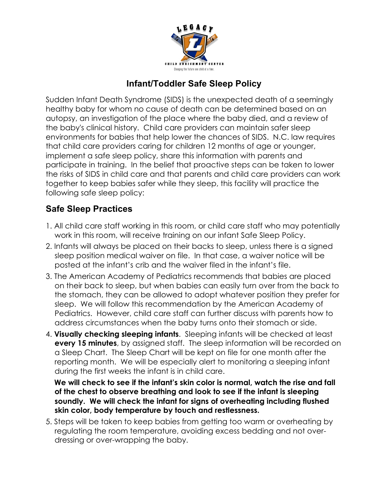

## **Infant/Toddler Safe Sleep Policy**

Sudden Infant Death Syndrome (SIDS) is the unexpected death of a seemingly healthy baby for whom no cause of death can be determined based on an autopsy, an investigation of the place where the baby died, and a review of the baby's clinical history. Child care providers can maintain safer sleep environments for babies that help lower the chances of SIDS. N.C. law requires that child care providers caring for children 12 months of age or younger, implement a safe sleep policy, share this information with parents and participate in training. In the belief that proactive steps can be taken to lower the risks of SIDS in child care and that parents and child care providers can work together to keep babies safer while they sleep, this facility will practice the following safe sleep policy:

## **Safe Sleep Practices**

- 1. All child care staff working in this room, or child care staff who may potentially work in this room, will receive training on our infant Safe Sleep Policy.
- 2. Infants will always be placed on their backs to sleep, unless there is a signed sleep position medical waiver on file. In that case, a waiver notice will be posted at the infant's crib and the waiver filed in the infant's file.
- 3. The American Academy of Pediatrics recommends that babies are placed on their back to sleep, but when babies can easily turn over from the back to the stomach, they can be allowed to adopt whatever position they prefer for sleep. We will follow this recommendation by the American Academy of Pediatrics. However, child care staff can further discuss with parents how to address circumstances when the baby turns onto their stomach or side.
- 4. **Visually checking sleeping infants**. Sleeping infants will be checked at least **every 15 minutes**, by assigned staff. The sleep information will be recorded on a Sleep Chart. The Sleep Chart will be kept on file for one month after the reporting month. We will be especially alert to monitoring a sleeping infant during the first weeks the infant is in child care.

**We will check to see if the infant's skin color is normal, watch the rise and fall of the chest to observe breathing and look to see if the infant is sleeping soundly. We will check the infant for signs of overheating including flushed skin color, body temperature by touch and restlessness.** 

5. Steps will be taken to keep babies from getting too warm or overheating by regulating the room temperature, avoiding excess bedding and not overdressing or over-wrapping the baby.